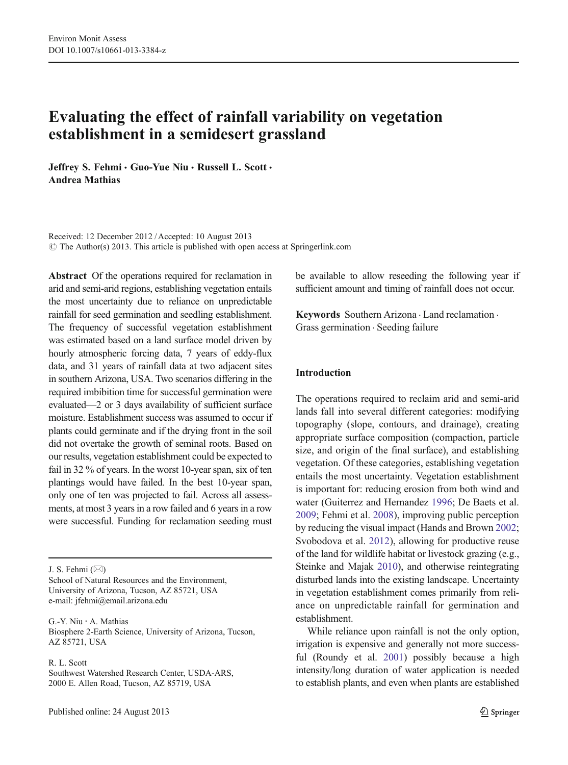# Evaluating the effect of rainfall variability on vegetation establishment in a semidesert grassland

Jeffrey S. Fehmi · Guo-Yue Niu · Russell L. Scott · Andrea Mathias

Received: 12 December 2012 /Accepted: 10 August 2013  $\odot$  The Author(s) 2013. This article is published with open access at Springerlink.com

Abstract Of the operations required for reclamation in arid and semi-arid regions, establishing vegetation entails the most uncertainty due to reliance on unpredictable rainfall for seed germination and seedling establishment. The frequency of successful vegetation establishment was estimated based on a land surface model driven by hourly atmospheric forcing data, 7 years of eddy-flux data, and 31 years of rainfall data at two adjacent sites in southern Arizona, USA. Two scenarios differing in the required imbibition time for successful germination were evaluated—2 or 3 days availability of sufficient surface moisture. Establishment success was assumed to occur if plants could germinate and if the drying front in the soil did not overtake the growth of seminal roots. Based on our results, vegetation establishment could be expected to fail in 32 % of years. In the worst 10-year span, six of ten plantings would have failed. In the best 10-year span, only one of ten was projected to fail. Across all assessments, at most 3 years in a row failed and 6 years in a row were successful. Funding for reclamation seeding must

J. S. Fehmi $(\boxtimes)$ 

School of Natural Resources and the Environment, University of Arizona, Tucson, AZ 85721, USA e-mail: jfehmi@email.arizona.edu

G.<Y. Niu : A. Mathias Biosphere 2-Earth Science, University of Arizona, Tucson, AZ 85721, USA

R. L. Scott Southwest Watershed Research Center, USDA-ARS, 2000 E. Allen Road, Tucson, AZ 85719, USA

be available to allow reseeding the following year if sufficient amount and timing of rainfall does not occur.

Keywords Southern Arizona . Land reclamation . Grass germination . Seeding failure

### Introduction

The operations required to reclaim arid and semi-arid lands fall into several different categories: modifying topography (slope, contours, and drainage), creating appropriate surface composition (compaction, particle size, and origin of the final surface), and establishing vegetation. Of these categories, establishing vegetation entails the most uncertainty. Vegetation establishment is important for: reducing erosion from both wind and water (Guiterrez and Hernandez [1996;](#page-10-0) De Baets et al. [2009;](#page-9-0) Fehmi et al. [2008](#page-10-0)), improving public perception by reducing the visual impact (Hands and Brown [2002;](#page-10-0) Svobodova et al. [2012\)](#page-11-0), allowing for productive reuse of the land for wildlife habitat or livestock grazing (e.g., Steinke and Majak [2010](#page-11-0)), and otherwise reintegrating disturbed lands into the existing landscape. Uncertainty in vegetation establishment comes primarily from reliance on unpredictable rainfall for germination and establishment.

While reliance upon rainfall is not the only option, irrigation is expensive and generally not more successful (Roundy et al. [2001](#page-11-0)) possibly because a high intensity/long duration of water application is needed to establish plants, and even when plants are established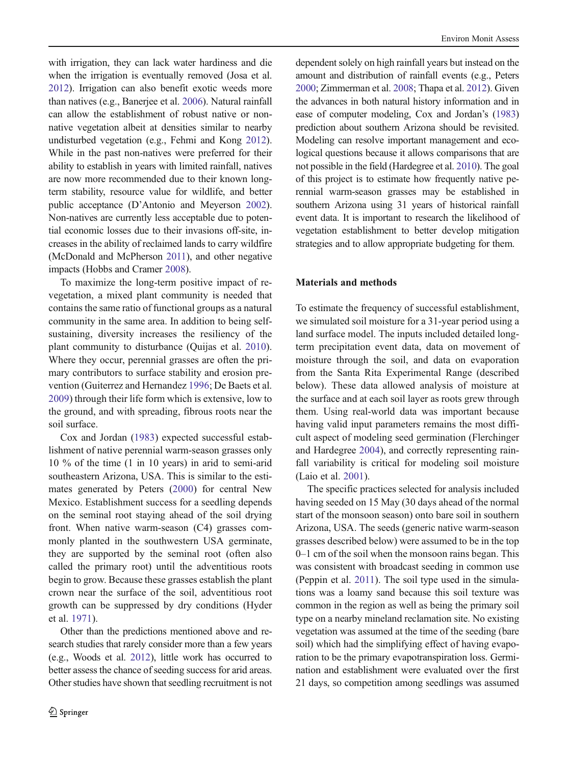with irrigation, they can lack water hardiness and die when the irrigation is eventually removed (Josa et al. [2012](#page-10-0)). Irrigation can also benefit exotic weeds more than natives (e.g., Banerjee et al. [2006](#page-9-0)). Natural rainfall can allow the establishment of robust native or nonnative vegetation albeit at densities similar to nearby undisturbed vegetation (e.g., Fehmi and Kong [2012\)](#page-10-0). While in the past non-natives were preferred for their ability to establish in years with limited rainfall, natives are now more recommended due to their known longterm stability, resource value for wildlife, and better public acceptance (D'Antonio and Meyerson [2002\)](#page-9-0). Non-natives are currently less acceptable due to potential economic losses due to their invasions off-site, increases in the ability of reclaimed lands to carry wildfire (McDonald and McPherson [2011\)](#page-10-0), and other negative impacts (Hobbs and Cramer [2008\)](#page-10-0).

To maximize the long-term positive impact of revegetation, a mixed plant community is needed that contains the same ratio of functional groups as a natural community in the same area. In addition to being selfsustaining, diversity increases the resiliency of the plant community to disturbance (Quijas et al. [2010](#page-10-0)). Where they occur, perennial grasses are often the primary contributors to surface stability and erosion prevention (Guiterrez and Hernandez [1996;](#page-10-0) De Baets et al. [2009\)](#page-9-0) through their life form which is extensive, low to the ground, and with spreading, fibrous roots near the soil surface.

Cox and Jordan [\(1983](#page-9-0)) expected successful establishment of native perennial warm-season grasses only 10 % of the time (1 in 10 years) in arid to semi-arid southeastern Arizona, USA. This is similar to the estimates generated by Peters [\(2000](#page-10-0)) for central New Mexico. Establishment success for a seedling depends on the seminal root staying ahead of the soil drying front. When native warm-season (C4) grasses commonly planted in the southwestern USA germinate, they are supported by the seminal root (often also called the primary root) until the adventitious roots begin to grow. Because these grasses establish the plant crown near the surface of the soil, adventitious root growth can be suppressed by dry conditions (Hyder et al. [1971\)](#page-10-0).

Other than the predictions mentioned above and research studies that rarely consider more than a few years (e.g., Woods et al. [2012](#page-11-0)), little work has occurred to better assess the chance of seeding success for arid areas. Other studies have shown that seedling recruitment is not dependent solely on high rainfall years but instead on the amount and distribution of rainfall events (e.g., Peters [2000](#page-10-0); Zimmerman et al. [2008](#page-11-0); Thapa et al. [2012](#page-11-0)). Given the advances in both natural history information and in ease of computer modeling, Cox and Jordan's ([1983](#page-9-0)) prediction about southern Arizona should be revisited. Modeling can resolve important management and ecological questions because it allows comparisons that are not possible in the field (Hardegree et al. [2010](#page-10-0)). The goal of this project is to estimate how frequently native perennial warm-season grasses may be established in southern Arizona using 31 years of historical rainfall event data. It is important to research the likelihood of vegetation establishment to better develop mitigation strategies and to allow appropriate budgeting for them.

#### Materials and methods

To estimate the frequency of successful establishment, we simulated soil moisture for a 31-year period using a land surface model. The inputs included detailed longterm precipitation event data, data on movement of moisture through the soil, and data on evaporation from the Santa Rita Experimental Range (described below). These data allowed analysis of moisture at the surface and at each soil layer as roots grew through them. Using real-world data was important because having valid input parameters remains the most difficult aspect of modeling seed germination (Flerchinger and Hardegree [2004](#page-10-0)), and correctly representing rainfall variability is critical for modeling soil moisture (Laio et al. [2001\)](#page-10-0).

The specific practices selected for analysis included having seeded on 15 May (30 days ahead of the normal start of the monsoon season) onto bare soil in southern Arizona, USA. The seeds (generic native warm-season grasses described below) were assumed to be in the top 0–1 cm of the soil when the monsoon rains began. This was consistent with broadcast seeding in common use (Peppin et al. [2011](#page-10-0)). The soil type used in the simulations was a loamy sand because this soil texture was common in the region as well as being the primary soil type on a nearby mineland reclamation site. No existing vegetation was assumed at the time of the seeding (bare soil) which had the simplifying effect of having evaporation to be the primary evapotranspiration loss. Germination and establishment were evaluated over the first 21 days, so competition among seedlings was assumed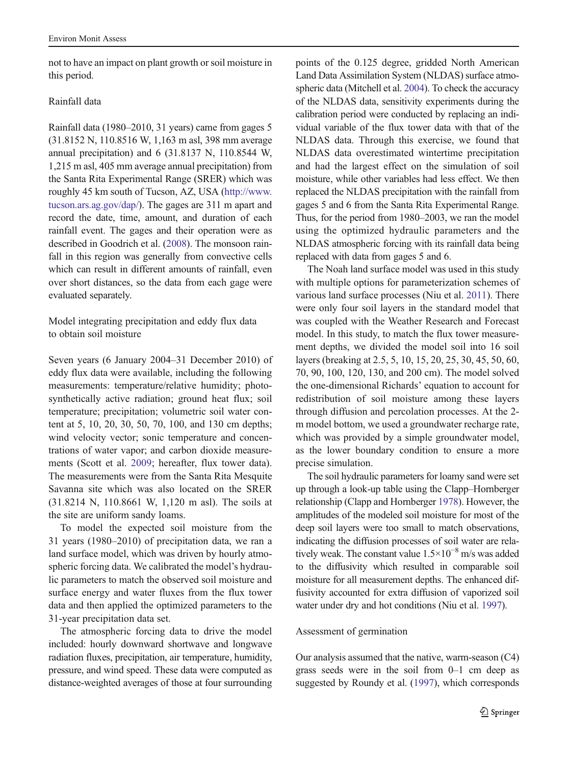not to have an impact on plant growth or soil moisture in this period.

## Rainfall data

Rainfall data (1980–2010, 31 years) came from gages 5 (31.8152 N, 110.8516 W, 1,163 m asl, 398 mm average annual precipitation) and 6 (31.8137 N, 110.8544 W, 1,215 m asl, 405 mm average annual precipitation) from the Santa Rita Experimental Range (SRER) which was roughly 45 km south of Tucson, AZ, USA [\(http://www.](http://www.tucson.ars.ag.gov/dap/) [tucson.ars.ag.gov/dap/\)](http://www.tucson.ars.ag.gov/dap/). The gages are 311 m apart and record the date, time, amount, and duration of each rainfall event. The gages and their operation were as described in Goodrich et al. [\(2008\)](#page-10-0). The monsoon rainfall in this region was generally from convective cells which can result in different amounts of rainfall, even over short distances, so the data from each gage were evaluated separately.

Model integrating precipitation and eddy flux data to obtain soil moisture

Seven years (6 January 2004–31 December 2010) of eddy flux data were available, including the following measurements: temperature/relative humidity; photosynthetically active radiation; ground heat flux; soil temperature; precipitation; volumetric soil water content at 5, 10, 20, 30, 50, 70, 100, and 130 cm depths; wind velocity vector; sonic temperature and concentrations of water vapor; and carbon dioxide measurements (Scott et al. [2009](#page-11-0); hereafter, flux tower data). The measurements were from the Santa Rita Mesquite Savanna site which was also located on the SRER (31.8214 N, 110.8661 W, 1,120 m asl). The soils at the site are uniform sandy loams.

To model the expected soil moisture from the 31 years (1980–2010) of precipitation data, we ran a land surface model, which was driven by hourly atmospheric forcing data. We calibrated the model's hydraulic parameters to match the observed soil moisture and surface energy and water fluxes from the flux tower data and then applied the optimized parameters to the 31-year precipitation data set.

The atmospheric forcing data to drive the model included: hourly downward shortwave and longwave radiation fluxes, precipitation, air temperature, humidity, pressure, and wind speed. These data were computed as distance-weighted averages of those at four surrounding points of the 0.125 degree, gridded North American Land Data Assimilation System (NLDAS) surface atmospheric data (Mitchell et al. [2004\)](#page-10-0). To check the accuracy of the NLDAS data, sensitivity experiments during the calibration period were conducted by replacing an individual variable of the flux tower data with that of the NLDAS data. Through this exercise, we found that NLDAS data overestimated wintertime precipitation and had the largest effect on the simulation of soil moisture, while other variables had less effect. We then replaced the NLDAS precipitation with the rainfall from gages 5 and 6 from the Santa Rita Experimental Range. Thus, for the period from 1980–2003, we ran the model using the optimized hydraulic parameters and the NLDAS atmospheric forcing with its rainfall data being replaced with data from gages 5 and 6.

The Noah land surface model was used in this study with multiple options for parameterization schemes of various land surface processes (Niu et al. [2011](#page-10-0)). There were only four soil layers in the standard model that was coupled with the Weather Research and Forecast model. In this study, to match the flux tower measurement depths, we divided the model soil into 16 soil layers (breaking at 2.5, 5, 10, 15, 20, 25, 30, 45, 50, 60, 70, 90, 100, 120, 130, and 200 cm). The model solved the one-dimensional Richards' equation to account for redistribution of soil moisture among these layers through diffusion and percolation processes. At the 2 m model bottom, we used a groundwater recharge rate, which was provided by a simple groundwater model, as the lower boundary condition to ensure a more precise simulation.

The soil hydraulic parameters for loamy sand were set up through a look-up table using the Clapp–Hornberger relationship (Clapp and Hornberger [1978\)](#page-9-0). However, the amplitudes of the modeled soil moisture for most of the deep soil layers were too small to match observations, indicating the diffusion processes of soil water are relatively weak. The constant value  $1.5\times10^{-8}$  m/s was added to the diffusivity which resulted in comparable soil moisture for all measurement depths. The enhanced diffusivity accounted for extra diffusion of vaporized soil water under dry and hot conditions (Niu et al. [1997](#page-10-0)).

## Assessment of germination

Our analysis assumed that the native, warm-season (C4) grass seeds were in the soil from 0–1 cm deep as suggested by Roundy et al. [\(1997](#page-11-0)), which corresponds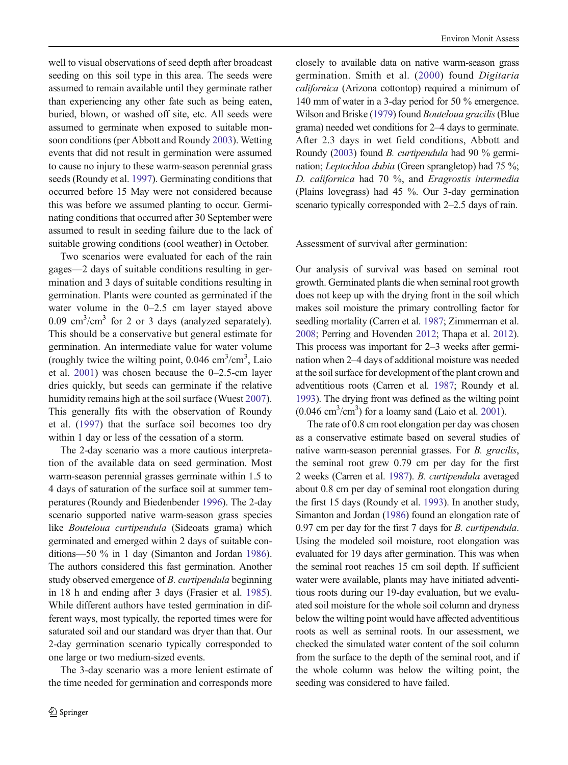well to visual observations of seed depth after broadcast seeding on this soil type in this area. The seeds were assumed to remain available until they germinate rather than experiencing any other fate such as being eaten, buried, blown, or washed off site, etc. All seeds were assumed to germinate when exposed to suitable monsoon conditions (per Abbott and Roundy [2003](#page-9-0)). Wetting events that did not result in germination were assumed to cause no injury to these warm-season perennial grass seeds (Roundy et al. [1997](#page-11-0)). Germinating conditions that occurred before 15 May were not considered because this was before we assumed planting to occur. Germinating conditions that occurred after 30 September were assumed to result in seeding failure due to the lack of suitable growing conditions (cool weather) in October.

Two scenarios were evaluated for each of the rain gages—2 days of suitable conditions resulting in germination and 3 days of suitable conditions resulting in germination. Plants were counted as germinated if the water volume in the 0–2.5 cm layer stayed above 0.09  $\text{cm}^3/\text{cm}^3$  for 2 or 3 days (analyzed separately). This should be a conservative but general estimate for germination. An intermediate value for water volume (roughly twice the wilting point,  $0.046 \text{ cm}^3/\text{cm}^3$ , Laio et al. [2001](#page-10-0)) was chosen because the 0–2.5-cm layer dries quickly, but seeds can germinate if the relative humidity remains high at the soil surface (Wuest [2007](#page-11-0)). This generally fits with the observation of Roundy et al. [\(1997](#page-11-0)) that the surface soil becomes too dry within 1 day or less of the cessation of a storm.

The 2-day scenario was a more cautious interpretation of the available data on seed germination. Most warm-season perennial grasses germinate within 1.5 to 4 days of saturation of the surface soil at summer temperatures (Roundy and Biedenbender [1996](#page-10-0)). The 2-day scenario supported native warm-season grass species like Bouteloua curtipendula (Sideoats grama) which germinated and emerged within 2 days of suitable conditions—50 % in 1 day (Simanton and Jordan [1986\)](#page-11-0). The authors considered this fast germination. Another study observed emergence of B. curtipendula beginning in 18 h and ending after 3 days (Frasier et al. [1985\)](#page-10-0). While different authors have tested germination in different ways, most typically, the reported times were for saturated soil and our standard was dryer than that. Our 2-day germination scenario typically corresponded to one large or two medium-sized events.

The 3-day scenario was a more lenient estimate of the time needed for germination and corresponds more

closely to available data on native warm-season grass germination. Smith et al. ([2000](#page-11-0)) found Digitaria californica (Arizona cottontop) required a minimum of 140 mm of water in a 3-day period for 50 % emergence. Wilson and Briske [\(1979](#page-11-0)) found Bouteloua gracilis (Blue grama) needed wet conditions for 2–4 days to germinate. After 2.3 days in wet field conditions, Abbott and Roundy [\(2003\)](#page-9-0) found B. curtipendula had 90 % germination; Leptochloa dubia (Green sprangletop) had 75 %; D. californica had 70 %, and Eragrostis intermedia (Plains lovegrass) had 45 %. Our 3-day germination scenario typically corresponded with 2–2.5 days of rain.

Assessment of survival after germination:

Our analysis of survival was based on seminal root growth. Germinated plants die when seminal root growth does not keep up with the drying front in the soil which makes soil moisture the primary controlling factor for seedling mortality (Carren et al. [1987](#page-9-0); Zimmerman et al. [2008](#page-11-0); Perring and Hovenden [2012](#page-10-0); Thapa et al. [2012\)](#page-11-0). This process was important for 2–3 weeks after germination when 2–4 days of additional moisture was needed at the soil surface for development of the plant crown and adventitious roots (Carren et al. [1987](#page-9-0); Roundy et al. [1993](#page-10-0)). The drying front was defined as the wilting point  $(0.046 \text{ cm}^3/\text{cm}^3)$  for a loamy sand (Laio et al. [2001\)](#page-10-0).

The rate of 0.8 cm root elongation per day was chosen as a conservative estimate based on several studies of native warm-season perennial grasses. For B. gracilis, the seminal root grew 0.79 cm per day for the first 2 weeks (Carren et al. [1987\)](#page-9-0). B. curtipendula averaged about 0.8 cm per day of seminal root elongation during the first 15 days (Roundy et al. [1993](#page-10-0)). In another study, Simanton and Jordan ([1986\)](#page-11-0) found an elongation rate of 0.97 cm per day for the first 7 days for B. curtipendula. Using the modeled soil moisture, root elongation was evaluated for 19 days after germination. This was when the seminal root reaches 15 cm soil depth. If sufficient water were available, plants may have initiated adventitious roots during our 19-day evaluation, but we evaluated soil moisture for the whole soil column and dryness below the wilting point would have affected adventitious roots as well as seminal roots. In our assessment, we checked the simulated water content of the soil column from the surface to the depth of the seminal root, and if the whole column was below the wilting point, the seeding was considered to have failed.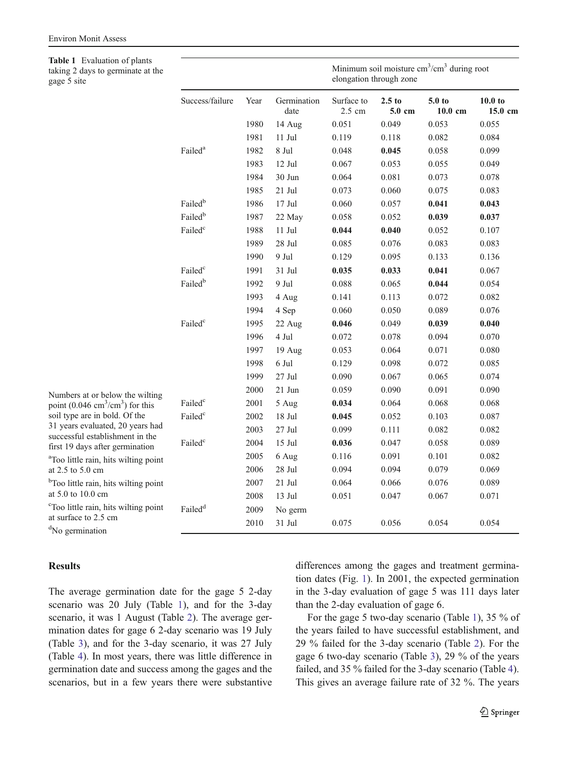<span id="page-4-0"></span>

| Table 1 Evaluation of plants<br>taking 2 days to germinate at the<br>gage 5 site |                     |      |                     | Minimum soil moisture $cm^3/cm^3$ during root<br>elongation through zone |                             |                              |                               |
|----------------------------------------------------------------------------------|---------------------|------|---------------------|--------------------------------------------------------------------------|-----------------------------|------------------------------|-------------------------------|
|                                                                                  | Success/failure     | Year | Germination<br>date | Surface to<br>2.5 cm                                                     | 2.5 <sub>to</sub><br>5.0 cm | 5.0 <sub>to</sub><br>10.0 cm | 10.0 <sub>to</sub><br>15.0 cm |
|                                                                                  |                     | 1980 | 14 Aug              | 0.051                                                                    | 0.049                       | 0.053                        | 0.055                         |
|                                                                                  |                     | 1981 | $11$ Jul            | 0.119                                                                    | 0.118                       | 0.082                        | 0.084                         |
|                                                                                  | Failed <sup>a</sup> | 1982 | 8 Jul               | 0.048                                                                    | 0.045                       | 0.058                        | 0.099                         |
|                                                                                  |                     | 1983 | 12 Jul              | 0.067                                                                    | 0.053                       | 0.055                        | 0.049                         |
|                                                                                  |                     | 1984 | 30 Jun              | 0.064                                                                    | 0.081                       | 0.073                        | 0.078                         |
|                                                                                  |                     | 1985 | $21$ Jul            | 0.073                                                                    | 0.060                       | 0.075                        | 0.083                         |
|                                                                                  | Failed <sup>b</sup> | 1986 | $17$ Jul            | 0.060                                                                    | 0.057                       | 0.041                        | 0.043                         |
|                                                                                  | Failed <sup>b</sup> | 1987 | 22 May              | 0.058                                                                    | 0.052                       | 0.039                        | 0.037                         |
|                                                                                  | Failed <sup>c</sup> | 1988 | $11$ Jul            | 0.044                                                                    | 0.040                       | 0.052                        | 0.107                         |
|                                                                                  |                     | 1989 | 28 Jul              | 0.085                                                                    | 0.076                       | 0.083                        | 0.083                         |
|                                                                                  |                     | 1990 | 9 Jul               | 0.129                                                                    | 0.095                       | 0.133                        | 0.136                         |
|                                                                                  | Failed <sup>c</sup> | 1991 | 31 Jul              | 0.035                                                                    | 0.033                       | 0.041                        | 0.067                         |
|                                                                                  | Failed <sup>b</sup> | 1992 | 9 Jul               | 0.088                                                                    | 0.065                       | 0.044                        | 0.054                         |
|                                                                                  |                     | 1993 | 4 Aug               | 0.141                                                                    | 0.113                       | 0.072                        | 0.082                         |
|                                                                                  |                     | 1994 | 4 Sep               | 0.060                                                                    | 0.050                       | 0.089                        | 0.076                         |
|                                                                                  | Failed <sup>c</sup> | 1995 | 22 Aug              | 0.046                                                                    | 0.049                       | 0.039                        | 0.040                         |
|                                                                                  |                     | 1996 | 4 Jul               | 0.072                                                                    | 0.078                       | 0.094                        | 0.070                         |
|                                                                                  |                     | 1997 | 19 Aug              | 0.053                                                                    | 0.064                       | 0.071                        | 0.080                         |
|                                                                                  |                     | 1998 | 6 Jul               | 0.129                                                                    | 0.098                       | 0.072                        | 0.085                         |
|                                                                                  |                     | 1999 | $27$ Jul            | 0.090                                                                    | 0.067                       | 0.065                        | 0.074                         |
| Numbers at or below the wilting                                                  |                     | 2000 | $21$ Jun            | 0.059                                                                    | 0.090                       | 0.091                        | 0.090                         |
| point $(0.046 \text{ cm}^3/\text{cm}^3)$ for this                                | Failed <sup>c</sup> | 2001 | 5 Aug               | 0.034                                                                    | 0.064                       | 0.068                        | 0.068                         |
| soil type are in bold. Of the                                                    | Failed <sup>c</sup> | 2002 | $18$ Jul $\,$       | 0.045                                                                    | 0.052                       | 0.103                        | 0.087                         |
| 31 years evaluated, 20 years had                                                 |                     | 2003 | $27$ Jul            | 0.099                                                                    | 0.111                       | 0.082                        | 0.082                         |
| successful establishment in the<br>first 19 days after germination               | Failed <sup>c</sup> | 2004 | 15 Jul              | 0.036                                                                    | 0.047                       | 0.058                        | 0.089                         |
| <sup>a</sup> Too little rain, hits wilting point                                 |                     | 2005 | 6 Aug               | 0.116                                                                    | 0.091                       | 0.101                        | 0.082                         |
| at 2.5 to 5.0 cm                                                                 |                     | 2006 | 28 Jul              | 0.094                                                                    | 0.094                       | 0.079                        | 0.069                         |
| <sup>b</sup> Too little rain, hits wilting point                                 |                     | 2007 | $21$ Jul            | 0.064                                                                    | 0.066                       | 0.076                        | 0.089                         |
| at 5.0 to 10.0 cm                                                                |                     | 2008 | 13 Jul              | 0.051                                                                    | 0.047                       | 0.067                        | 0.071                         |
| <sup>c</sup> Too little rain, hits wilting point<br>at surface to 2.5 cm         | Failed <sup>d</sup> | 2009 | No germ             |                                                                          |                             |                              |                               |
| <sup>d</sup> No germination                                                      |                     | 2010 | 31 Jul              | 0.075                                                                    | 0.056                       | 0.054                        | 0.054                         |

#### Results

The average germination date for the gage 5 2-day scenario was 20 July (Table 1), and for the 3-day scenario, it was 1 August (Table [2](#page-5-0)). The average germination dates for gage 6 2-day scenario was 19 July (Table [3\)](#page-6-0), and for the 3-day scenario, it was 27 July (Table [4\)](#page-7-0). In most years, there was little difference in germination date and success among the gages and the scenarios, but in a few years there were substantive differences among the gages and treatment germination dates (Fig. [1\)](#page-8-0). In 2001, the expected germination in the 3-day evaluation of gage 5 was 111 days later than the 2-day evaluation of gage 6.

For the gage 5 two-day scenario (Table 1), 35 % of the years failed to have successful establishment, and 29 % failed for the 3-day scenario (Table [2\)](#page-5-0). For the gage 6 two-day scenario (Table [3\)](#page-6-0), 29 % of the years failed, and 35 % failed for the 3-day scenario (Table [4\)](#page-7-0). This gives an average failure rate of 32 %. The years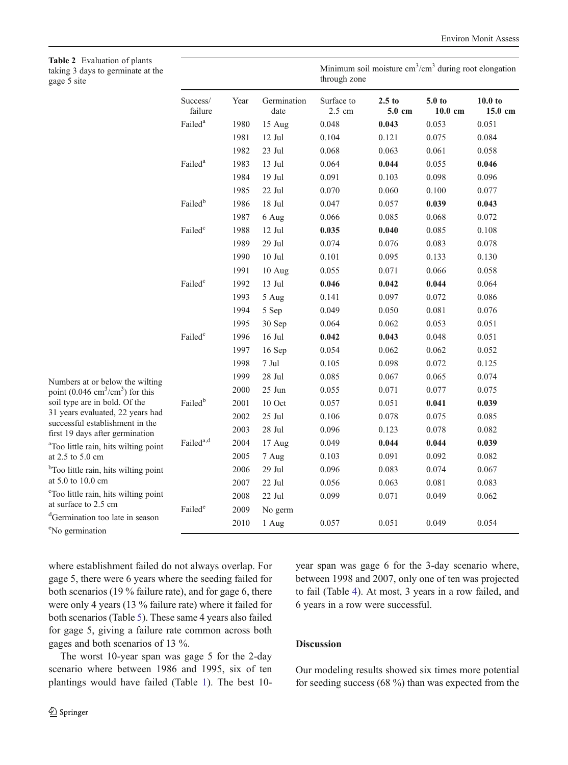<span id="page-5-0"></span>Table 2 Evaluation taking 3 days to g gage 5 site

| <b>Table 2</b> Evaluation of plants<br>taking 3 days to germinate at the<br>gage 5 site |                       |      |                     | Minimum soil moisture $cm3/cm3$ during root elongation<br>through zone |                    |                              |                               |
|-----------------------------------------------------------------------------------------|-----------------------|------|---------------------|------------------------------------------------------------------------|--------------------|------------------------------|-------------------------------|
|                                                                                         | Success/<br>failure   | Year | Germination<br>date | Surface to<br>2.5 cm                                                   | $2.5$ to<br>5.0 cm | 5.0 <sub>to</sub><br>10.0 cm | 10.0 <sub>to</sub><br>15.0 cm |
|                                                                                         | Failed <sup>a</sup>   | 1980 | 15 Aug              | 0.048                                                                  | 0.043              | 0.053                        | 0.051                         |
|                                                                                         |                       | 1981 | 12 Jul              | 0.104                                                                  | 0.121              | 0.075                        | 0.084                         |
|                                                                                         |                       | 1982 | 23 Jul              | 0.068                                                                  | 0.063              | 0.061                        | 0.058                         |
|                                                                                         | Failed <sup>a</sup>   | 1983 | 13 Jul              | 0.064                                                                  | 0.044              | 0.055                        | 0.046                         |
|                                                                                         |                       | 1984 | 19 Jul              | 0.091                                                                  | 0.103              | 0.098                        | 0.096                         |
|                                                                                         |                       | 1985 | 22 Jul              | 0.070                                                                  | 0.060              | 0.100                        | 0.077                         |
|                                                                                         | Failed <sup>b</sup>   | 1986 | $18$ Jul            | 0.047                                                                  | 0.057              | 0.039                        | 0.043                         |
|                                                                                         |                       | 1987 | 6 Aug               | 0.066                                                                  | 0.085              | 0.068                        | 0.072                         |
|                                                                                         | Failed <sup>c</sup>   | 1988 | 12 Jul              | 0.035                                                                  | 0.040              | 0.085                        | 0.108                         |
|                                                                                         |                       | 1989 | $29$ Jul            | 0.074                                                                  | 0.076              | 0.083                        | 0.078                         |
|                                                                                         |                       | 1990 | $10$ Jul            | 0.101                                                                  | 0.095              | 0.133                        | 0.130                         |
|                                                                                         |                       | 1991 | 10 Aug              | 0.055                                                                  | 0.071              | 0.066                        | 0.058                         |
|                                                                                         | Failed <sup>c</sup>   | 1992 | 13 Jul              | 0.046                                                                  | 0.042              | 0.044                        | 0.064                         |
|                                                                                         |                       | 1993 | 5 Aug               | 0.141                                                                  | 0.097              | 0.072                        | 0.086                         |
|                                                                                         |                       | 1994 | 5 Sep               | 0.049                                                                  | 0.050              | 0.081                        | 0.076                         |
|                                                                                         |                       | 1995 | 30 Sep              | 0.064                                                                  | 0.062              | 0.053                        | 0.051                         |
|                                                                                         | Failed <sup>c</sup>   | 1996 | $16$ Jul            | 0.042                                                                  | 0.043              | 0.048                        | 0.051                         |
|                                                                                         |                       | 1997 | 16 Sep              | 0.054                                                                  | 0.062              | 0.062                        | 0.052                         |
|                                                                                         |                       | 1998 | $7\:\rm{Jul}$       | 0.105                                                                  | 0.098              | 0.072                        | 0.125                         |
| Numbers at or below the wilting                                                         |                       | 1999 | 28 Jul              | 0.085                                                                  | 0.067              | 0.065                        | 0.074                         |
| point $(0.046 \text{ cm}^3/\text{cm}^3)$ for this                                       |                       | 2000 | 25 Jun              | 0.055                                                                  | 0.071              | 0.077                        | 0.075                         |
| soil type are in bold. Of the                                                           | Failed <sup>b</sup>   | 2001 | 10 Oct              | 0.057                                                                  | 0.051              | 0.041                        | 0.039                         |
| 31 years evaluated, 22 years had                                                        |                       | 2002 | 25 Jul              | 0.106                                                                  | 0.078              | 0.075                        | 0.085                         |
| successful establishment in the<br>first 19 days after germination                      |                       | 2003 | 28 Jul              | 0.096                                                                  | 0.123              | 0.078                        | 0.082                         |
| <sup>a</sup> Too little rain, hits wilting point                                        | Failed <sup>a,d</sup> | 2004 | 17 Aug              | 0.049                                                                  | 0.044              | 0.044                        | 0.039                         |
| at 2.5 to 5.0 cm                                                                        |                       | 2005 | 7 Aug               | 0.103                                                                  | 0.091              | 0.092                        | 0.082                         |
| <sup>b</sup> Too little rain, hits wilting point                                        |                       | 2006 | 29 Jul              | 0.096                                                                  | 0.083              | 0.074                        | 0.067                         |
| at 5.0 to 10.0 cm                                                                       |                       | 2007 | 22 Jul              | 0.056                                                                  | 0.063              | 0.081                        | 0.083                         |
| <sup>c</sup> Too little rain, hits wilting point                                        |                       | 2008 | 22 Jul              | 0.099                                                                  | 0.071              | 0.049                        | 0.062                         |
| at surface to 2.5 cm                                                                    | Failed <sup>e</sup>   | 2009 | No germ             |                                                                        |                    |                              |                               |
| <sup>d</sup> Germination too late in season                                             |                       | 2010 | 1 Aug               | 0.057                                                                  | 0.051              | 0.049                        | 0.054                         |
| $e_{\rm M}$ composition                                                                 |                       |      |                     |                                                                        |                    |                              |                               |

where establishment failed do not always overlap. For gage 5, there were 6 years where the seeding failed for both scenarios (19 % failure rate), and for gage 6, there were only 4 years (13 % failure rate) where it failed for both scenarios (Table [5\)](#page-8-0). These same 4 years also failed for gage 5, giving a failure rate common across both gages and both scenarios of 13 %.

The worst 10-year span was gage 5 for the 2-day scenario where between 1986 and 1995, six of ten plantings would have failed (Table [1\)](#page-4-0). The best 10-

e No germination

year span was gage 6 for the 3-day scenario where, between 1998 and 2007, only one of ten was projected to fail (Table [4](#page-7-0)). At most, 3 years in a row failed, and 6 years in a row were successful.

# Discussion

Our modeling results showed six times more potential for seeding success (68 %) than was expected from the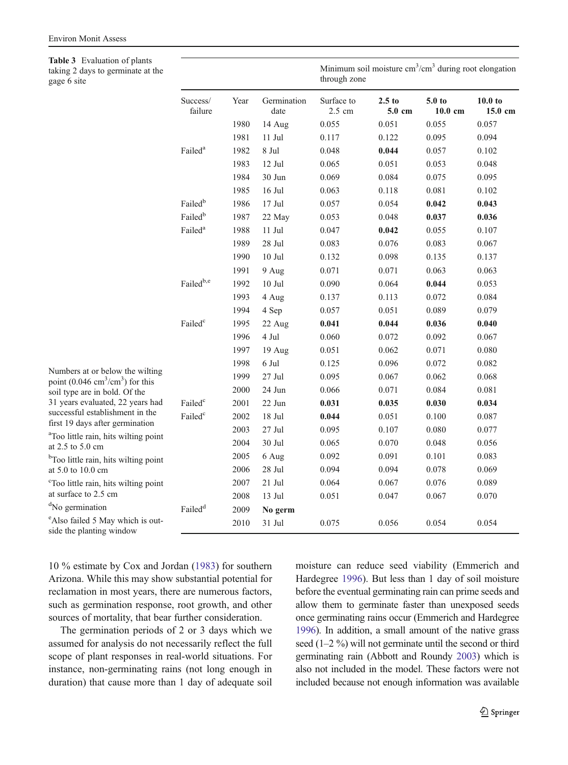<span id="page-6-0"></span>Table 3 Evaluation of plants taking gage 6

| taking 2 days to germinate at the<br>gage 6 site                                     |                       |      |                     | Minimum soil moisture $cm3/cm3$ during root elongation<br>through zone |                             |                                        |                               |  |
|--------------------------------------------------------------------------------------|-----------------------|------|---------------------|------------------------------------------------------------------------|-----------------------------|----------------------------------------|-------------------------------|--|
|                                                                                      | Success/<br>failure   | Year | Germination<br>date | Surface to<br>2.5 cm                                                   | 2.5 <sub>to</sub><br>5.0 cm | 5.0 <sub>to</sub><br>$10.0 \text{ cm}$ | 10.0 <sub>to</sub><br>15.0 cm |  |
|                                                                                      |                       | 1980 | 14 Aug              | 0.055                                                                  | 0.051                       | 0.055                                  | 0.057                         |  |
|                                                                                      |                       | 1981 | $11$ Jul $\,$       | 0.117                                                                  | 0.122                       | 0.095                                  | 0.094                         |  |
|                                                                                      | Failed <sup>a</sup>   | 1982 | 8 Jul               | 0.048                                                                  | 0.044                       | 0.057                                  | 0.102                         |  |
|                                                                                      |                       | 1983 | 12 Jul              | 0.065                                                                  | 0.051                       | 0.053                                  | 0.048                         |  |
|                                                                                      |                       | 1984 | 30 Jun              | 0.069                                                                  | 0.084                       | 0.075                                  | 0.095                         |  |
|                                                                                      |                       | 1985 | $16$ Jul            | 0.063                                                                  | 0.118                       | 0.081                                  | 0.102                         |  |
|                                                                                      | Failed <sup>b</sup>   | 1986 | 17 Jul              | 0.057                                                                  | 0.054                       | 0.042                                  | 0.043                         |  |
|                                                                                      | Failed <sup>b</sup>   | 1987 | 22 May              | 0.053                                                                  | 0.048                       | 0.037                                  | 0.036                         |  |
|                                                                                      | Failed <sup>a</sup>   | 1988 | $11\,$ Jul          | 0.047                                                                  | 0.042                       | 0.055                                  | 0.107                         |  |
|                                                                                      |                       | 1989 | 28 Jul              | 0.083                                                                  | 0.076                       | 0.083                                  | 0.067                         |  |
|                                                                                      |                       | 1990 | $10$ Jul            | 0.132                                                                  | 0.098                       | 0.135                                  | 0.137                         |  |
|                                                                                      |                       | 1991 | 9 Aug               | 0.071                                                                  | 0.071                       | 0.063                                  | 0.063                         |  |
|                                                                                      | Failed <sup>b,e</sup> | 1992 | $10$ Jul            | 0.090                                                                  | 0.064                       | 0.044                                  | 0.053                         |  |
|                                                                                      |                       | 1993 | 4 Aug               | 0.137                                                                  | 0.113                       | 0.072                                  | 0.084                         |  |
|                                                                                      |                       | 1994 | 4 Sep               | 0.057                                                                  | 0.051                       | 0.089                                  | 0.079                         |  |
|                                                                                      | Failed <sup>c</sup>   | 1995 | 22 Aug              | 0.041                                                                  | 0.044                       | 0.036                                  | 0.040                         |  |
|                                                                                      |                       | 1996 | 4 Jul               | 0.060                                                                  | 0.072                       | 0.092                                  | 0.067                         |  |
|                                                                                      |                       | 1997 | 19 Aug              | 0.051                                                                  | 0.062                       | 0.071                                  | 0.080                         |  |
|                                                                                      |                       | 1998 | 6 Jul               | 0.125                                                                  | 0.096                       | 0.072                                  | 0.082                         |  |
| Numbers at or below the wilting<br>point $(0.046 \text{ cm}^3/\text{cm}^3)$ for this |                       | 1999 | 27 Jul              | 0.095                                                                  | 0.067                       | 0.062                                  | 0.068                         |  |
| soil type are in bold. Of the                                                        |                       | 2000 | 24 Jun              | 0.066                                                                  | 0.071                       | 0.084                                  | 0.081                         |  |
| 31 years evaluated, 22 years had                                                     | Failed <sup>c</sup>   | 2001 | 22 Jun              | 0.031                                                                  | 0.035                       | 0.030                                  | 0.034                         |  |
| successful establishment in the<br>first 19 days after germination                   | Failed <sup>c</sup>   | 2002 | $18$ Jul            | 0.044                                                                  | 0.051                       | 0.100                                  | 0.087                         |  |
| <sup>a</sup> Too little rain, hits wilting point                                     |                       | 2003 | 27 Jul              | 0.095                                                                  | 0.107                       | 0.080                                  | 0.077                         |  |
| at 2.5 to 5.0 cm                                                                     |                       | 2004 | 30 Jul              | 0.065                                                                  | 0.070                       | 0.048                                  | 0.056                         |  |
| <sup>b</sup> Too little rain, hits wilting point                                     |                       | 2005 | 6 Aug               | 0.092                                                                  | 0.091                       | 0.101                                  | 0.083                         |  |
| at 5.0 to 10.0 cm                                                                    |                       | 2006 | $28$ Jul $\,$       | 0.094                                                                  | 0.094                       | 0.078                                  | 0.069                         |  |
| <sup>c</sup> Too little rain, hits wilting point                                     |                       | 2007 | $21$ Jul            | 0.064                                                                  | 0.067                       | 0.076                                  | 0.089                         |  |
| at surface to 2.5 cm                                                                 |                       | 2008 | 13 Jul              | 0.051                                                                  | 0.047                       | 0.067                                  | 0.070                         |  |
| <sup>d</sup> No germination                                                          | Failed <sup>d</sup>   | 2009 | No germ             |                                                                        |                             |                                        |                               |  |
| <sup>e</sup> Also failed 5 May which is out-<br>side the planting window             |                       | 2010 | 31 Jul              | 0.075                                                                  | 0.056                       | 0.054                                  | 0.054                         |  |

10 % estimate by Cox and Jordan ([1983\)](#page-9-0) for southern Arizona. While this may show substantial potential for reclamation in most years, there are numerous factors, such as germination response, root growth, and other sources of mortality, that bear further consideration.

The germination periods of 2 or 3 days which we assumed for analysis do not necessarily reflect the full scope of plant responses in real-world situations. For instance, non-germinating rains (not long enough in duration) that cause more than 1 day of adequate soil moisture can reduce seed viability (Emmerich and Hardegree [1996](#page-10-0)). But less than 1 day of soil moisture before the eventual germinating rain can prime seeds and allow them to germinate faster than unexposed seeds once germinating rains occur (Emmerich and Hardegree [1996](#page-10-0)). In addition, a small amount of the native grass seed (1–2 %) will not germinate until the second or third germinating rain (Abbott and Roundy [2003](#page-9-0)) which is also not included in the model. These factors were not included because not enough information was available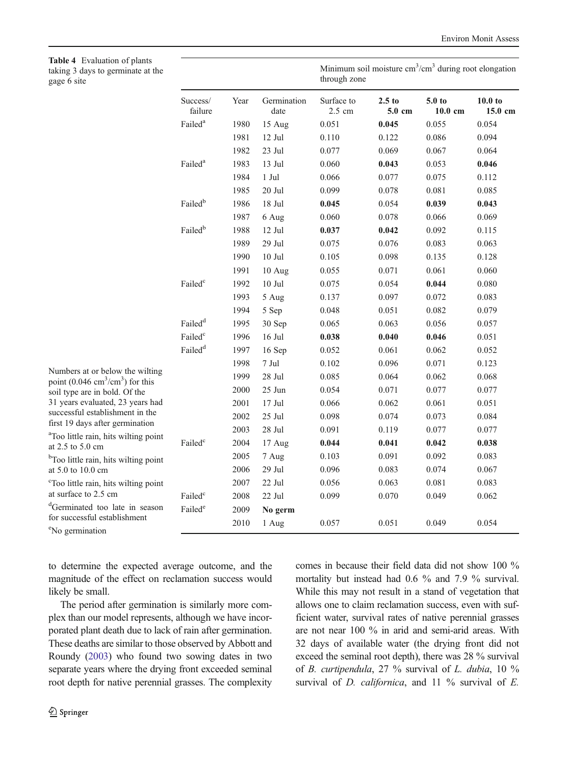<span id="page-7-0"></span>Table 4 Evaluation of pl taking 3 days to g gage 6 site

| <b>Table 4</b> Evaluation of plants<br>taking 3 days to germinate at the<br>gage 6 site |                     |              |                     |                                | Minimum soil moisture $cm3/cm3$ during root elongation<br>through zone |                                        |                                         |  |  |
|-----------------------------------------------------------------------------------------|---------------------|--------------|---------------------|--------------------------------|------------------------------------------------------------------------|----------------------------------------|-----------------------------------------|--|--|
|                                                                                         | Success/<br>failure | Year         | Germination<br>date | Surface to<br>$2.5 \text{ cm}$ | $2.5$ to<br>$5.0 \text{ cm}$                                           | 5.0 <sub>to</sub><br>$10.0 \text{ cm}$ | 10.0 <sub>to</sub><br>$15.0 \text{ cm}$ |  |  |
|                                                                                         | Failed <sup>a</sup> | 1980         | 15 Aug              | 0.051                          | 0.045                                                                  | 0.055                                  | 0.054                                   |  |  |
|                                                                                         |                     | 1981         | 12 Jul              | 0.110                          | 0.122                                                                  | 0.086                                  | 0.094                                   |  |  |
|                                                                                         |                     | 1982         | 23 Jul              | 0.077                          | 0.069                                                                  | 0.067                                  | 0.064                                   |  |  |
|                                                                                         | Failed <sup>a</sup> | 1983         | 13 Jul              | 0.060                          | 0.043                                                                  | 0.053                                  | 0.046                                   |  |  |
|                                                                                         |                     | 1984         | 1 Jul               | 0.066                          | 0.077                                                                  | 0.075                                  | 0.112                                   |  |  |
|                                                                                         |                     | 1985         | 20 Jul              | 0.099                          | 0.078                                                                  | 0.081                                  | 0.085                                   |  |  |
|                                                                                         | Failed <sup>b</sup> | 1986         | 18 Jul              | 0.045                          | 0.054                                                                  | 0.039                                  | 0.043                                   |  |  |
|                                                                                         |                     | 1987         | 6 Aug               | 0.060                          | 0.078                                                                  | 0.066                                  | 0.069                                   |  |  |
|                                                                                         | Failed <sup>b</sup> | 1988         | 12 Jul              | 0.037                          | 0.042                                                                  | 0.092                                  | 0.115                                   |  |  |
|                                                                                         |                     | 1989         | 29 Jul              | 0.075                          | 0.076                                                                  | 0.083                                  | 0.063                                   |  |  |
|                                                                                         |                     | 1990         | $10$ Jul            | 0.105                          | 0.098                                                                  | 0.135                                  | 0.128                                   |  |  |
|                                                                                         |                     | 1991         | 10 Aug              | 0.055                          | 0.071                                                                  | 0.061                                  | 0.060                                   |  |  |
|                                                                                         | Failed <sup>c</sup> | 1992         | $10$ Jul            | 0.075                          | 0.054                                                                  | 0.044                                  | 0.080                                   |  |  |
|                                                                                         |                     | 1993         | 5 Aug               | 0.137                          | 0.097                                                                  | 0.072                                  | 0.083                                   |  |  |
|                                                                                         |                     | 1994         | 5 Sep               | 0.048                          | 0.051                                                                  | 0.082                                  | 0.079                                   |  |  |
|                                                                                         | Failed <sup>d</sup> | 1995         | 30 Sep              | 0.065                          | 0.063                                                                  | 0.056                                  | 0.057                                   |  |  |
|                                                                                         | Failed <sup>c</sup> | 1996         | $16$ Jul            | 0.038                          | 0.040                                                                  | 0.046                                  | 0.051                                   |  |  |
|                                                                                         | Failed <sup>d</sup> | 1997         | 16 Sep              | 0.052                          | 0.061                                                                  | 0.062                                  | 0.052                                   |  |  |
|                                                                                         |                     | 1998         | $7\:\rm{Jul}$       | 0.102                          | 0.096                                                                  | 0.071                                  | 0.123                                   |  |  |
| Numbers at or below the wilting<br>point $(0.046 \text{ cm}^3/\text{cm}^3)$ for this    |                     | 1999         | 28 Jul              | 0.085                          | 0.064                                                                  | 0.062                                  | 0.068                                   |  |  |
| soil type are in bold. Of the                                                           |                     | 2000         | 25 Jun              | 0.054                          | 0.071                                                                  | 0.077                                  | 0.077                                   |  |  |
| 31 years evaluated, 23 years had                                                        |                     | 2001         | $17$ Jul            | 0.066                          | 0.062                                                                  | 0.061                                  | 0.051                                   |  |  |
| successful establishment in the                                                         |                     | 2002         | 25 Jul              | 0.098                          | 0.074                                                                  | 0.073                                  | 0.084                                   |  |  |
| first 19 days after germination                                                         |                     | 2003         | $28$ Jul $\,$       | 0.091                          | 0.119                                                                  | 0.077                                  | 0.077                                   |  |  |
| <sup>a</sup> Too little rain, hits wilting point<br>at $2.5$ to $5.0$ cm                | Failed <sup>c</sup> | 2004         | 17 Aug              | 0.044                          | 0.041                                                                  | 0.042                                  | 0.038                                   |  |  |
| <sup>b</sup> Too little rain, hits wilting point                                        |                     | 2005         | 7 Aug               | 0.103                          | 0.091                                                                  | 0.092                                  | 0.083                                   |  |  |
| at 5.0 to 10.0 cm                                                                       |                     | 2006         | 29 Jul              | 0.096                          | 0.083                                                                  | 0.074                                  | 0.067                                   |  |  |
| <sup>c</sup> Too little rain, hits wilting point                                        |                     | 2007         | 22 Jul              | 0.056                          | 0.063                                                                  | 0.081                                  | 0.083                                   |  |  |
| at surface to 2.5 cm                                                                    | Failed <sup>c</sup> | 2008         | 22 Jul              | 0.099                          | 0.070                                                                  | 0.049                                  | 0.062                                   |  |  |
| <sup>d</sup> Germinated too late in season<br>for successful establishment              | Failed <sup>e</sup> | 2009<br>2010 | No germ<br>1 Aug    | 0.057                          | 0.051                                                                  | 0.049                                  | 0.054                                   |  |  |
| $en_{\text{L}}$ . The second contract $f$                                               |                     |              |                     |                                |                                                                        |                                        |                                         |  |  |

to determine the expected average outcome, and the magnitude of the effect on reclamation success would likely be small.

The period after germination is similarly more complex than our model represents, although we have incorporated plant death due to lack of rain after germination. These deaths are similar to those observed by Abbott and Roundy [\(2003](#page-9-0)) who found two sowing dates in two separate years where the drying front exceeded seminal root depth for native perennial grasses. The complexity

e No germination

comes in because their field data did not show 100 % mortality but instead had 0.6 % and 7.9 % survival. While this may not result in a stand of vegetation that allows one to claim reclamation success, even with sufficient water, survival rates of native perennial grasses are not near 100 % in arid and semi-arid areas. With 32 days of available water (the drying front did not exceed the seminal root depth), there was 28 % survival of B. curtipendula, 27 % survival of L. dubia, 10 % survival of  $D$ . *californica*, and  $11\%$  survival of  $E$ .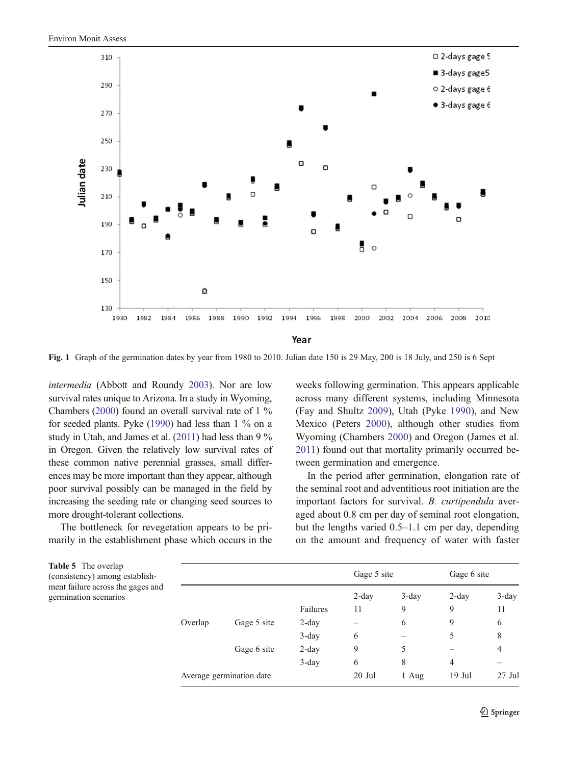<span id="page-8-0"></span>

Fig. 1 Graph of the germination dates by year from 1980 to 2010. Julian date 150 is 29 May, 200 is 18 July, and 250 is 6 Sept

intermedia (Abbott and Roundy [2003](#page-9-0)). Nor are low survival rates unique to Arizona. In a study in Wyoming, Chambers ([2000](#page-9-0)) found an overall survival rate of 1 % for seeded plants. Pyke ([1990](#page-10-0)) had less than 1 % on a study in Utah, and James et al. ([2011\)](#page-10-0) had less than 9 % in Oregon. Given the relatively low survival rates of these common native perennial grasses, small differences may be more important than they appear, although poor survival possibly can be managed in the field by increasing the seeding rate or changing seed sources to more drought-tolerant collections.

The bottleneck for revegetation appears to be primarily in the establishment phase which occurs in the weeks following germination. This appears applicable across many different systems, including Minnesota (Fay and Shultz [2009](#page-10-0)), Utah (Pyke [1990\)](#page-10-0), and New Mexico (Peters [2000\)](#page-10-0), although other studies from Wyoming (Chambers [2000\)](#page-9-0) and Oregon (James et al. [2011\)](#page-10-0) found out that mortality primarily occurred between germination and emergence.

In the period after germination, elongation rate of the seminal root and adventitious root initiation are the important factors for survival. B. curtipendula averaged about 0.8 cm per day of seminal root elongation, but the lengths varied 0.5–1.1 cm per day, depending on the amount and frequency of water with faster

| <b>Table 5</b> The overlap<br>(consistency) among establish-<br>ment failure across the gages and<br>germination scenarios |         |                          |          |          | Gage 5 site |          | Gage 6 site |  |  |  |  |
|----------------------------------------------------------------------------------------------------------------------------|---------|--------------------------|----------|----------|-------------|----------|-------------|--|--|--|--|
|                                                                                                                            |         |                          |          | $2$ -day | $3$ -day    | $2$ -day | 3-day       |  |  |  |  |
|                                                                                                                            |         |                          | Failures | 11       | 9           | 9        | 11          |  |  |  |  |
|                                                                                                                            | Overlap | Gage 5 site              | $2$ -day |          | 6           | 9        | 6           |  |  |  |  |
|                                                                                                                            |         |                          | $3$ -day | 6        |             | 5        | 8           |  |  |  |  |
|                                                                                                                            |         | Gage 6 site              | $2$ -day | 9        | 5           |          | 4           |  |  |  |  |
|                                                                                                                            |         |                          | $3$ -day | 6        | 8           | 4        |             |  |  |  |  |
|                                                                                                                            |         | Average germination date | 20 Jul   | 1 Aug    | $19$ Jul    | $27$ Jul |             |  |  |  |  |
|                                                                                                                            |         |                          |          |          |             |          |             |  |  |  |  |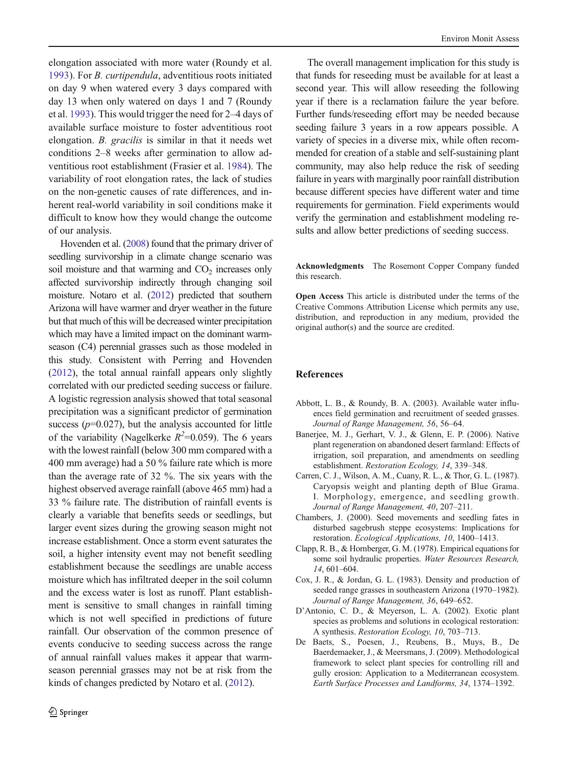<span id="page-9-0"></span>elongation associated with more water (Roundy et al. [1993\)](#page-10-0). For B. curtipendula, adventitious roots initiated on day 9 when watered every 3 days compared with day 13 when only watered on days 1 and 7 (Roundy et al. [1993](#page-10-0)). This would trigger the need for 2–4 days of available surface moisture to foster adventitious root elongation. B. gracilis is similar in that it needs wet conditions 2–8 weeks after germination to allow adventitious root establishment (Frasier et al. [1984\)](#page-10-0). The variability of root elongation rates, the lack of studies on the non-genetic causes of rate differences, and inherent real-world variability in soil conditions make it difficult to know how they would change the outcome of our analysis.

Hovenden et al. [\(2008](#page-10-0)) found that the primary driver of seedling survivorship in a climate change scenario was soil moisture and that warming and  $CO<sub>2</sub>$  increases only affected survivorship indirectly through changing soil moisture. Notaro et al. [\(2012](#page-10-0)) predicted that southern Arizona will have warmer and dryer weather in the future but that much of this will be decreased winter precipitation which may have a limited impact on the dominant warmseason (C4) perennial grasses such as those modeled in this study. Consistent with Perring and Hovenden ([2012](#page-10-0)), the total annual rainfall appears only slightly correlated with our predicted seeding success or failure. A logistic regression analysis showed that total seasonal precipitation was a significant predictor of germination success  $(p=0.027)$ , but the analysis accounted for little of the variability (Nagelkerke  $R^2$ =0.059). The 6 years with the lowest rainfall (below 300 mm compared with a 400 mm average) had a 50 % failure rate which is more than the average rate of 32 %. The six years with the highest observed average rainfall (above 465 mm) had a 33 % failure rate. The distribution of rainfall events is clearly a variable that benefits seeds or seedlings, but larger event sizes during the growing season might not increase establishment. Once a storm event saturates the soil, a higher intensity event may not benefit seedling establishment because the seedlings are unable access moisture which has infiltrated deeper in the soil column and the excess water is lost as runoff. Plant establishment is sensitive to small changes in rainfall timing which is not well specified in predictions of future rainfall. Our observation of the common presence of events conducive to seeding success across the range of annual rainfall values makes it appear that warmseason perennial grasses may not be at risk from the kinds of changes predicted by Notaro et al. [\(2012\)](#page-10-0).

The overall management implication for this study is that funds for reseeding must be available for at least a second year. This will allow reseeding the following year if there is a reclamation failure the year before. Further funds/reseeding effort may be needed because seeding failure 3 years in a row appears possible. A variety of species in a diverse mix, while often recommended for creation of a stable and self-sustaining plant community, may also help reduce the risk of seeding failure in years with marginally poor rainfall distribution because different species have different water and time requirements for germination. Field experiments would verify the germination and establishment modeling results and allow better predictions of seeding success.

Acknowledgments The Rosemont Copper Company funded this research.

Open Access This article is distributed under the terms of the Creative Commons Attribution License which permits any use, distribution, and reproduction in any medium, provided the original author(s) and the source are credited.

#### References

- Abbott, L. B., & Roundy, B. A. (2003). Available water influences field germination and recruitment of seeded grasses. Journal of Range Management, 56, 56–64.
- Banerjee, M. J., Gerhart, V. J., & Glenn, E. P. (2006). Native plant regeneration on abandoned desert farmland: Effects of irrigation, soil preparation, and amendments on seedling establishment. Restoration Ecology, 14, 339–348.
- Carren, C. J., Wilson, A. M., Cuany, R. L., & Thor, G. L. (1987). Caryopsis weight and planting depth of Blue Grama. I. Morphology, emergence, and seedling growth. Journal of Range Management, 40, 207–211.
- Chambers, J. (2000). Seed movements and seedling fates in disturbed sagebrush steppe ecosystems: Implications for restoration. Ecological Applications, 10, 1400–1413.
- Clapp, R. B., & Hornberger, G. M. (1978). Empirical equations for some soil hydraulic properties. Water Resources Research, 14, 601–604.
- Cox, J. R., & Jordan, G. L. (1983). Density and production of seeded range grasses in southeastern Arizona (1970–1982). Journal of Range Management, 36, 649–652.
- D'Antonio, C. D., & Meyerson, L. A. (2002). Exotic plant species as problems and solutions in ecological restoration: A synthesis. Restoration Ecology, 10, 703–713.
- De Baets, S., Poesen, J., Reubens, B., Muys, B., De Baerdemaeker, J., & Meersmans, J. (2009). Methodological framework to select plant species for controlling rill and gully erosion: Application to a Mediterranean ecosystem. Earth Surface Processes and Landforms, 34, 1374–1392.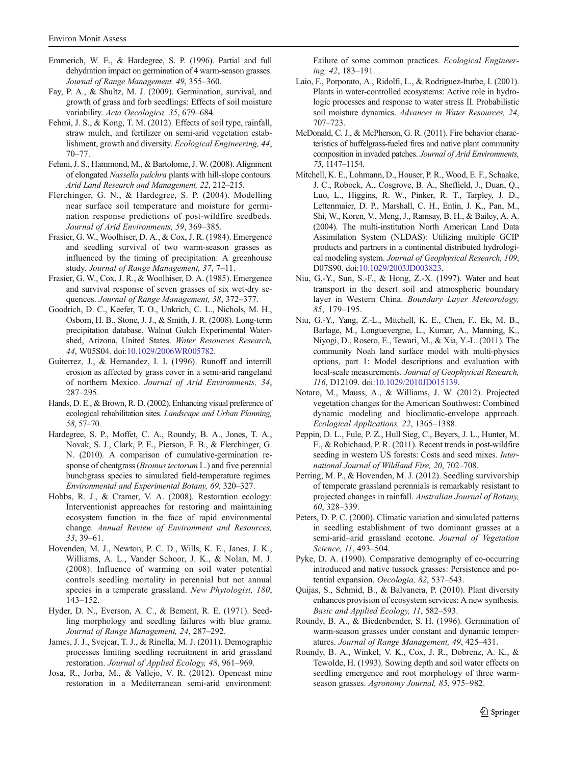- <span id="page-10-0"></span>Emmerich, W. E., & Hardegree, S. P. (1996). Partial and full dehydration impact on germination of 4 warm-season grasses. Journal of Range Management, 49, 355–360.
- Fay, P. A., & Shultz, M. J. (2009). Germination, survival, and growth of grass and forb seedlings: Effects of soil moisture variability. Acta Oecologica, 35, 679–684.
- Fehmi, J. S., & Kong, T. M. (2012). Effects of soil type, rainfall, straw mulch, and fertilizer on semi-arid vegetation establishment, growth and diversity. Ecological Engineering, 44, 70–77.
- Fehmi, J. S., Hammond, M., & Bartolome, J. W. (2008). Alignment of elongated Nassella pulchra plants with hill-slope contours. Arid Land Research and Management, 22, 212–215.
- Flerchinger, G. N., & Hardegree, S. P. (2004). Modelling near surface soil temperature and moisture for germination response predictions of post-wildfire seedbeds. Journal of Arid Environments, 59, 369–385.
- Frasier, G. W., Woolhiser, D. A., & Cox, J. R. (1984). Emergence and seedling survival of two warm-season grasses as influenced by the timing of precipitation: A greenhouse study. Journal of Range Management, 37, 7–11.
- Frasier, G. W., Cox, J. R., & Woolhiser, D. A. (1985). Emergence and survival response of seven grasses of six wet-dry sequences. Journal of Range Management, 38, 372–377.
- Goodrich, D. C., Keefer, T. O., Unkrich, C. L., Nichols, M. H., Osborn, H. B., Stone, J. J., & Smith, J. R. (2008). Long-term precipitation database, Walnut Gulch Experimental Watershed, Arizona, United States. Water Resources Research, 44, W05S04. doi[:10.1029/2006WR005782.](http://dx.doi.org/10.1029/2006WR005782)
- Guiterrez, J., & Hernandez, I. I. (1996). Runoff and interrill erosion as affected by grass cover in a semi-arid rangeland of northern Mexico. Journal of Arid Environments, 34, 287–295.
- Hands, D. E., & Brown, R. D. (2002). Enhancing visual preference of ecological rehabilitation sites. Landscape and Urban Planning, 58, 57–70.
- Hardegree, S. P., Moffet, C. A., Roundy, B. A., Jones, T. A., Novak, S. J., Clark, P. E., Pierson, F. B., & Flerchinger, G. N. (2010). A comparison of cumulative-germination response of cheatgrass (*Bromus tectorum* L.) and five perennial bunchgrass species to simulated field-temperature regimes. Environmental and Experimental Botany, 69, 320–327.
- Hobbs, R. J., & Cramer, V. A. (2008). Restoration ecology: Interventionist approaches for restoring and maintaining ecosystem function in the face of rapid environmental change. Annual Review of Environment and Resources, 33, 39–61.
- Hovenden, M. J., Newton, P. C. D., Wills, K. E., Janes, J. K., Williams, A. L., Vander Schoor, J. K., & Nolan, M. J. (2008). Influence of warming on soil water potential controls seedling mortality in perennial but not annual species in a temperate grassland. New Phytologist, 180, 143–152.
- Hyder, D. N., Everson, A. C., & Bement, R. E. (1971). Seedling morphology and seedling failures with blue grama. Journal of Range Management, 24, 287–292.
- James, J. J., Svejcar, T. J., & Rinella, M. J. (2011). Demographic processes limiting seedling recruitment in arid grassland restoration. Journal of Applied Ecology, 48, 961–969.
- Josa, R., Jorba, M., & Vallejo, V. R. (2012). Opencast mine restoration in a Mediterranean semi-arid environment:

Failure of some common practices. Ecological Engineering, 42, 183–191.

- Laio, F., Porporato, A., Ridolfi, L., & Rodriguez-Iturbe, I. (2001). Plants in water-controlled ecosystems: Active role in hydrologic processes and response to water stress II. Probabilistic soil moisture dynamics. Advances in Water Resources, 24, 707–723.
- McDonald, C. J., & McPherson, G. R. (2011). Fire behavior characteristics of buffelgrass-fueled fires and native plant community composition in invaded patches. Journal of Arid Environments, 75, 1147–1154.
- Mitchell, K. E., Lohmann, D., Houser, P. R., Wood, E. F., Schaake, J. C., Robock, A., Cosgrove, B. A., Sheffield, J., Duan, Q., Luo, L., Higgins, R. W., Pinker, R. T., Tarpley, J. D., Lettenmaier, D. P., Marshall, C. H., Entin, J. K., Pan, M., Shi, W., Koren, V., Meng, J., Ramsay, B. H., & Bailey, A. A. (2004). The multi-institution North American Land Data Assimilation System (NLDAS): Utilizing multiple GCIP products and partners in a continental distributed hydrological modeling system. Journal of Geophysical Research, 109, D07S90. doi:[10.1029/2003JD003823](http://dx.doi.org/10.1029/2003JD003823).
- Niu, G.-Y., Sun, S.-F., & Hong, Z.-X. (1997). Water and heat transport in the desert soil and atmospheric boundary layer in Western China. Boundary Layer Meteorology, 85, 179–195.
- Niu, G.-Y., Yang, Z.-L., Mitchell, K. E., Chen, F., Ek, M. B., Barlage, M., Longuevergne, L., Kumar, A., Manning, K., Niyogi, D., Rosero, E., Tewari, M., & Xia, Y.-L. (2011). The community Noah land surface model with multi-physics options, part 1: Model descriptions and evaluation with local-scale measurements. Journal of Geophysical Research, 116, D12109. doi:[10.1029/2010JD015139](http://dx.doi.org/10.1029/2010JD015139).
- Notaro, M., Mauss, A., & Williams, J. W. (2012). Projected vegetation changes for the American Southwest: Combined dynamic modeling and bioclimatic-envelope approach. Ecological Applications, 22, 1365–1388.
- Peppin, D. L., Fule, P. Z., Hull Sieg, C., Beyers, J. L., Hunter, M. E., & Robichaud, P. R. (2011). Recent trends in post-wildfire seeding in western US forests: Costs and seed mixes. International Journal of Wildland Fire, 20, 702–708.
- Perring, M. P., & Hovenden, M. J. (2012). Seedling survivorship of temperate grassland perennials is remarkably resistant to projected changes in rainfall. Australian Journal of Botany, 60, 328–339.
- Peters, D. P. C. (2000). Climatic variation and simulated patterns in seedling establishment of two dominant grasses at a semi-arid–arid grassland ecotone. Journal of Vegetation Science, 11, 493–504.
- Pyke, D. A. (1990). Comparative demography of co-occurring introduced and native tussock grasses: Persistence and potential expansion. Oecologia, 82, 537–543.
- Quijas, S., Schmid, B., & Balvanera, P. (2010). Plant diversity enhances provision of ecosystem services: A new synthesis. Basic and Applied Ecology, 11, 582–593.
- Roundy, B. A., & Biedenbender, S. H. (1996). Germination of warm-season grasses under constant and dynamic temperatures. Journal of Range Management, 49, 425–431.
- Roundy, B. A., Winkel, V. K., Cox, J. R., Dobrenz, A. K., & Tewolde, H. (1993). Sowing depth and soil water effects on seedling emergence and root morphology of three warmseason grasses. Agronomy Journal, 85, 975–982.